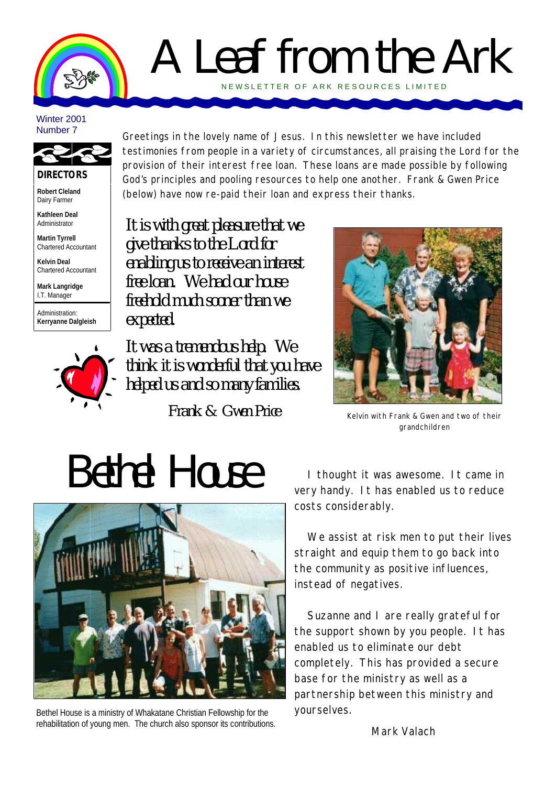

### A Leaf from the Ark NEWSLETTER OF ARK RE SOURCES LIMITED

#### Winter 2001 Number 7



**DIRECTORS**

**Robert Cleland** Dairy Farmer

**Kathleen Deal** Administrator

**Martin Tyrrell** Chartered Accountant

**Kelvin Deal** Chartered Accountant

**Mark Langridge** I.T. Manager

Administration: **Kerryanne Dalgleish**



Greetings in the lovely name of Jesus. In this newsletter we have included testimonies from people in a variety of circumstances, all praising the Lord for the provision of their interest free loan. These loans are made possible by following God's principles and pooling resources to help one another. Frank & Gwen Price (below) have now re-paid their loan and express their thanks.

*It is with great pleasure that we give thanks to the Lord for enabling us to receive an interest free loan. We had our house freehold much sooner than we expected.* 

*It was a tremendous help. We think it is wonderful that you have helped us and so many families.*

*Frank & Gwen Price*



Kelvin with Frank & Gwen and two of their grandchildren

# *Bethel House*



Bethel House is a ministry of Whakatane Christian Fellowship for the rehabilitation of young men. The church also sponsor its contributions.

I thought it was awesome. It came in very handy. It has enabled us to reduce costs considerably.

We assist at risk men to put their lives straight and equip them to go back into the community as positive influences, instead of negatives.

Suzanne and I are really grateful for the support shown by you people. It has enabled us to eliminate our debt completely. This has provided a secure base for the ministry as well as a partnership between this ministry and yourselves.

Mark Valach